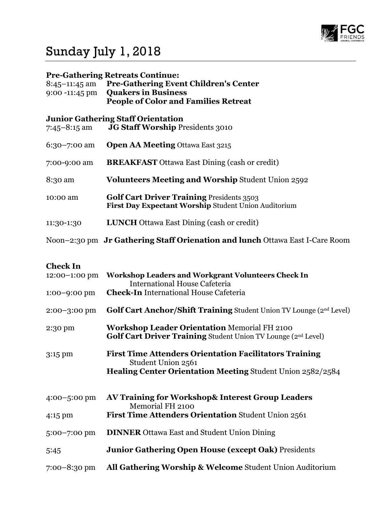

## Sunday July 1, 2018

## Pre-Gathering Retreats Continue:

| $8:45-11:45$ am<br>$9:00 - 11:45 \text{ pm}$ | <b>Pre-Gathering Event Children's Center</b><br><b>Quakers in Business</b><br><b>People of Color and Families Retreat</b> |
|----------------------------------------------|---------------------------------------------------------------------------------------------------------------------------|
| $7:45 - 8:15$ am                             | <b>Junior Gathering Staff Orientation</b><br><b>JG Staff Worship Presidents 3010</b>                                      |
| $6:30 - 7:00$ am                             | <b>Open AA Meeting Ottawa East 3215</b>                                                                                   |
| 7:00-9:00 am                                 | <b>BREAKFAST</b> Ottawa East Dining (cash or credit)                                                                      |
| 8:30 am                                      | <b>Volunteers Meeting and Worship Student Union 2592</b>                                                                  |
| 10:00 am                                     | <b>Golf Cart Driver Training Presidents 3503</b><br>First Day Expectant Worship Student Union Auditorium                  |
| 11:30-1:30                                   | <b>LUNCH</b> Ottawa East Dining (cash or credit)                                                                          |
|                                              | Noon-2:30 pm Jr Gathering Staff Orienation and lunch Ottawa East I-Care Room                                              |

## Check In

| 12:00-1:00 pm    | <b>Workshop Leaders and Workgrant Volunteers Check In</b><br><b>International House Cafeteria</b>                                                        |
|------------------|----------------------------------------------------------------------------------------------------------------------------------------------------------|
| $1:00 - 9:00$ pm | <b>Check-In International House Cafeteria</b>                                                                                                            |
| 2:00-3:00 pm     | Golf Cart Anchor/Shift Training Student Union TV Lounge (2nd Level)                                                                                      |
| 2:30 pm          | <b>Workshop Leader Orientation Memorial FH 2100</b><br><b>Golf Cart Driver Training Student Union TV Lounge (2nd Level)</b>                              |
| 3:15 pm          | <b>First Time Attenders Orientation Facilitators Training</b><br>Student Union 2561<br><b>Healing Center Orientation Meeting Student Union 2582/2584</b> |
| $4:00 - 5:00$ pm | AV Training for Workshop& Interest Group Leaders<br>Memorial FH 2100                                                                                     |
| 4:15 pm          | <b>First Time Attenders Orientation Student Union 2561</b>                                                                                               |
| 5:00-7:00 pm     | <b>DINNER</b> Ottawa East and Student Union Dining                                                                                                       |
| 5:45             | <b>Junior Gathering Open House (except Oak)</b> Presidents                                                                                               |
| $7:00-8:30$ pm   | All Gathering Worship & Welcome Student Union Auditorium                                                                                                 |